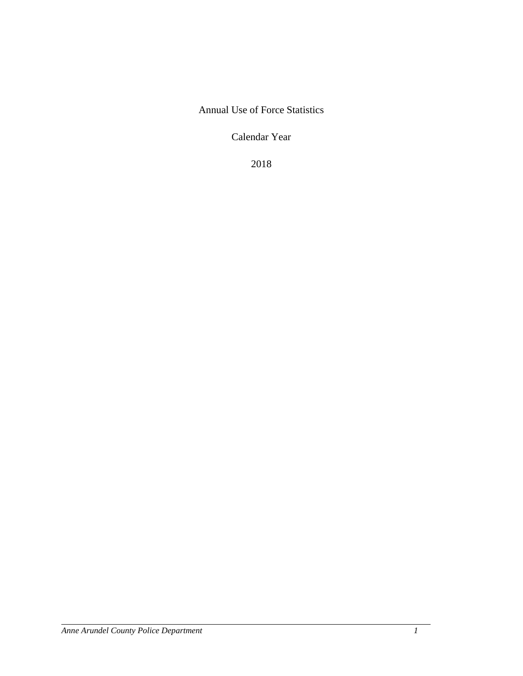Annual Use of Force Statistics

Calendar Year

2018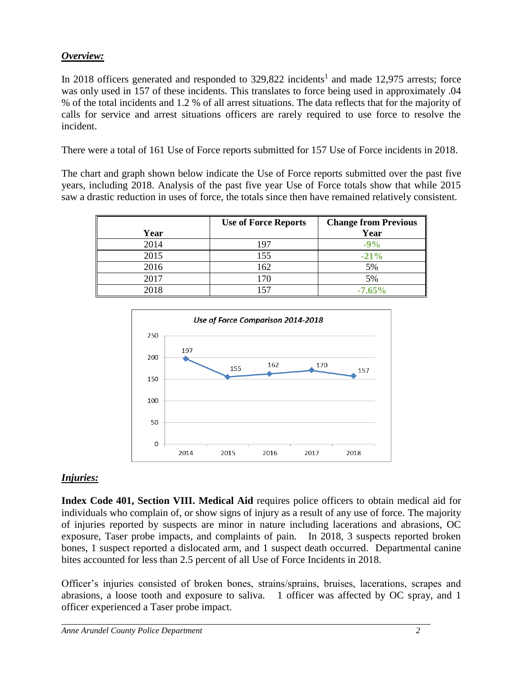## *Overview:*

In 2018 officers generated and responded to  $329,822$  incidents<sup>1</sup> and made 12,975 arrests; force was only used in 157 of these incidents. This translates to force being used in approximately .04 % of the total incidents and 1.2 % of all arrest situations. The data reflects that for the majority of calls for service and arrest situations officers are rarely required to use force to resolve the incident.

There were a total of 161 Use of Force reports submitted for 157 Use of Force incidents in 2018.

The chart and graph shown below indicate the Use of Force reports submitted over the past five years, including 2018. Analysis of the past five year Use of Force totals show that while 2015 saw a drastic reduction in uses of force, the totals since then have remained relatively consistent.

|      | <b>Use of Force Reports</b> | <b>Change from Previous</b> |
|------|-----------------------------|-----------------------------|
| Year |                             | Year                        |
| 2014 | 197                         | $-9%$                       |
| 2015 | 155                         | $-21%$                      |
| 2016 | 162                         | 5%                          |
| 2017 | 170                         | 5%                          |
| 2018 | 157                         | $-7.65%$                    |



## *Injuries:*

**Index Code 401, Section VIII. Medical Aid** requires police officers to obtain medical aid for individuals who complain of, or show signs of injury as a result of any use of force. The majority of injuries reported by suspects are minor in nature including lacerations and abrasions, OC exposure, Taser probe impacts, and complaints of pain. In 2018, 3 suspects reported broken bones, 1 suspect reported a dislocated arm, and 1 suspect death occurred. Departmental canine bites accounted for less than 2.5 percent of all Use of Force Incidents in 2018.

Officer's injuries consisted of broken bones, strains/sprains, bruises, lacerations, scrapes and abrasions, a loose tooth and exposure to saliva. 1 officer was affected by OC spray, and 1 officer experienced a Taser probe impact.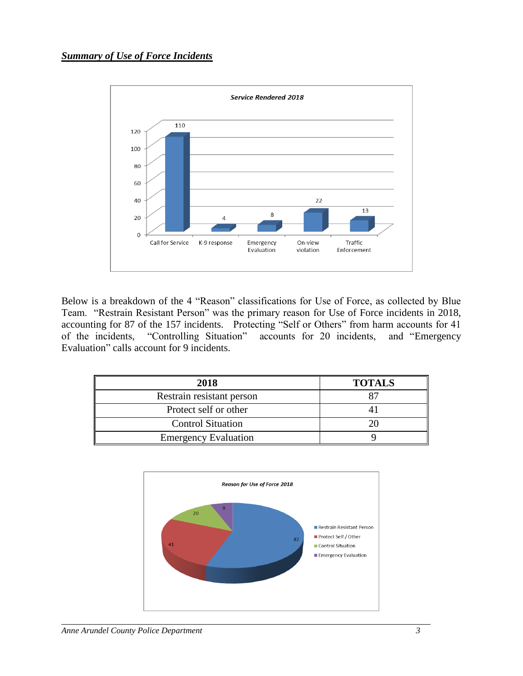

Below is a breakdown of the 4 "Reason" classifications for Use of Force, as collected by Blue Team. "Restrain Resistant Person" was the primary reason for Use of Force incidents in 2018, accounting for 87 of the 157 incidents. Protecting "Self or Others" from harm accounts for 41 of the incidents, "Controlling Situation" accounts for 20 incidents, and "Emergency Evaluation" calls account for 9 incidents.

| 2018                        | <b>TOTALS</b> |
|-----------------------------|---------------|
| Restrain resistant person   | Qʻ            |
| Protect self or other       |               |
| <b>Control Situation</b>    |               |
| <b>Emergency Evaluation</b> |               |

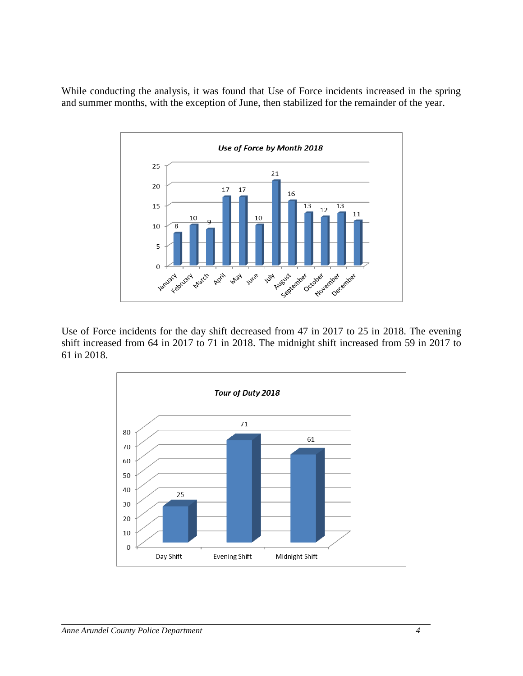While conducting the analysis, it was found that Use of Force incidents increased in the spring and summer months, with the exception of June, then stabilized for the remainder of the year.



Use of Force incidents for the day shift decreased from 47 in 2017 to 25 in 2018. The evening shift increased from 64 in 2017 to 71 in 2018. The midnight shift increased from 59 in 2017 to 61 in 2018.

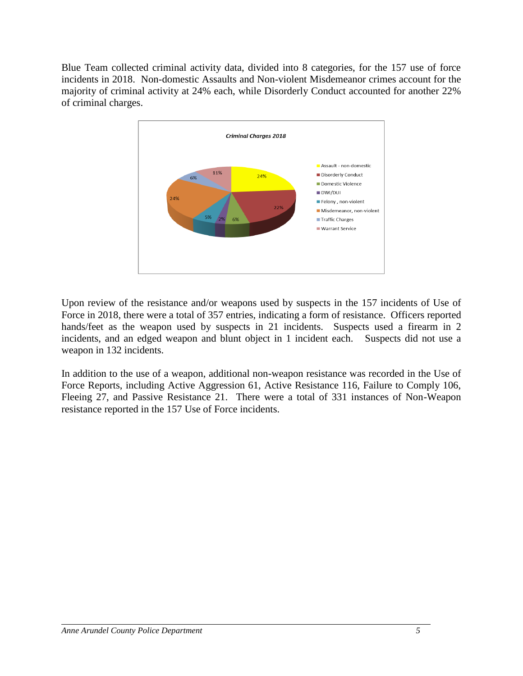Blue Team collected criminal activity data, divided into 8 categories, for the 157 use of force incidents in 2018. Non-domestic Assaults and Non-violent Misdemeanor crimes account for the majority of criminal activity at 24% each, while Disorderly Conduct accounted for another 22% of criminal charges.



Upon review of the resistance and/or weapons used by suspects in the 157 incidents of Use of Force in 2018, there were a total of 357 entries, indicating a form of resistance. Officers reported hands/feet as the weapon used by suspects in 21 incidents. Suspects used a firearm in 2 incidents, and an edged weapon and blunt object in 1 incident each. Suspects did not use a weapon in 132 incidents.

In addition to the use of a weapon, additional non-weapon resistance was recorded in the Use of Force Reports, including Active Aggression 61, Active Resistance 116, Failure to Comply 106, Fleeing 27, and Passive Resistance 21. There were a total of 331 instances of Non-Weapon resistance reported in the 157 Use of Force incidents.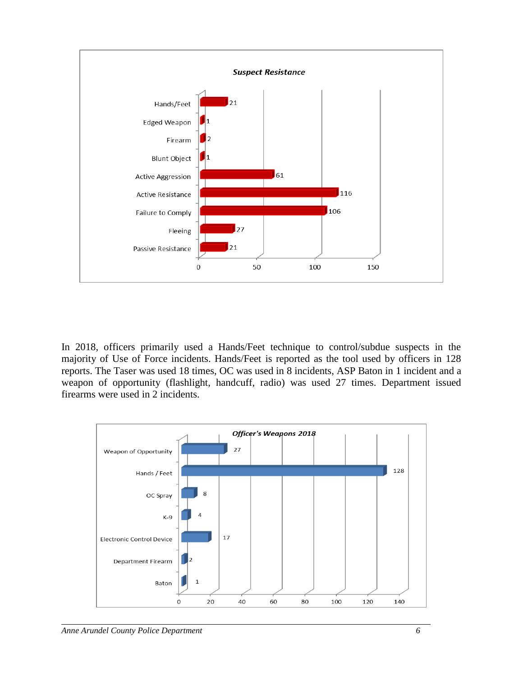

In 2018, officers primarily used a Hands/Feet technique to control/subdue suspects in the majority of Use of Force incidents. Hands/Feet is reported as the tool used by officers in 128 reports. The Taser was used 18 times, OC was used in 8 incidents, ASP Baton in 1 incident and a weapon of opportunity (flashlight, handcuff, radio) was used 27 times. Department issued firearms were used in 2 incidents.